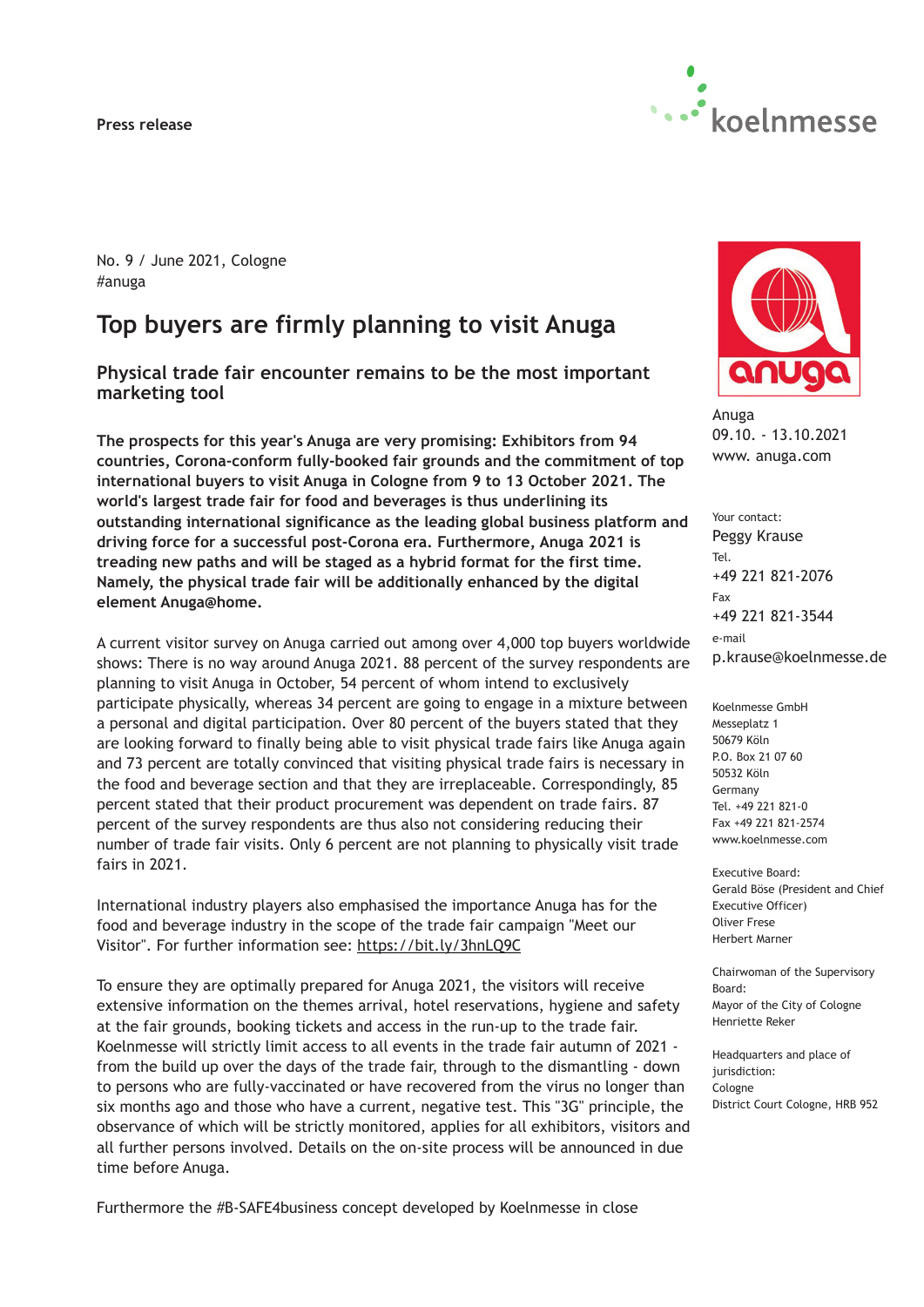**Press release**



No. 9 / June 2021, Cologne #anuga

# **Top buyers are firmly planning to visit Anuga**

**Physical trade fair encounter remains to be the most important marketing tool**

**The prospects for this year's Anuga are very promising: Exhibitors from 94 countries, Corona-conform fully-booked fair grounds and the commitment of top international buyers to visit Anuga in Cologne from 9 to 13 October 2021. The world's largest trade fair for food and beverages is thus underlining its outstanding international significance as the leading global business platform and driving force for a successful post-Corona era. Furthermore, Anuga 2021 is treading new paths and will be staged as a hybrid format for the first time. Namely, the physical trade fair will be additionally enhanced by the digital element Anuga@home.**

A current visitor survey on Anuga carried out among over 4,000 top buyers worldwide shows: There is no way around Anuga 2021. 88 percent of the survey respondents are planning to visit Anuga in October, 54 percent of whom intend to exclusively participate physically, whereas 34 percent are going to engage in a mixture between a personal and digital participation. Over 80 percent of the buyers stated that they are looking forward to finally being able to visit physical trade fairs like Anuga again and 73 percent are totally convinced that visiting physical trade fairs is necessary in the food and beverage section and that they are irreplaceable. Correspondingly, 85 percent stated that their product procurement was dependent on trade fairs. 87 percent of the survey respondents are thus also not considering reducing their number of trade fair visits. Only 6 percent are not planning to physically visit trade fairs in 2021.

International industry players also emphasised the importance Anuga has for the food and beverage industry in the scope of the trade fair campaign "Meet our Visitor". For further information see: [https://bit.ly/3hnLQ9C](https://www.koelnmesse.com/current-dates/all-trade-fairs/#1)

To ensure they are optimally prepared for Anuga 2021, the visitors will receive extensive information on the themes arrival, hotel reservations, hygiene and safety at the fair grounds, booking tickets and access in the run-up to the trade fair. Koelnmesse will strictly limit access to all events in the trade fair autumn of 2021 from the build up over the days of the trade fair, through to the dismantling - down to persons who are fully-vaccinated or have recovered from the virus no longer than six months ago and those who have a current, negative test. This "3G" principle, the observance of which will be strictly monitored, applies for all exhibitors, visitors and all further persons involved. Details on the on-site process will be announced in due time before Anuga.



Anuga 09.10. - 13.10.2021 www. anuga.com

Your contact: Peggy Krause Tel. +49 221 821-2076 Fax +49 221 821-3544 e-mail p.krause@koelnmesse.de

Koelnmesse GmbH Messeplatz 1 50679 Köln P.O. Box 21 07 60 50532 Köln Germany Tel. +49 221 821-0 Fax +49 221 821-2574 www.koelnmesse.com

Executive Board: Gerald Böse (President and Chief Executive Officer) Oliver Frese Herbert Marner

Chairwoman of the Supervisory Board: Mayor of the City of Cologne Henriette Reker

Headquarters and place of jurisdiction: Cologne District Court Cologne, HRB 952

Furthermore the #B-SAFE4business concept developed by Koelnmesse in close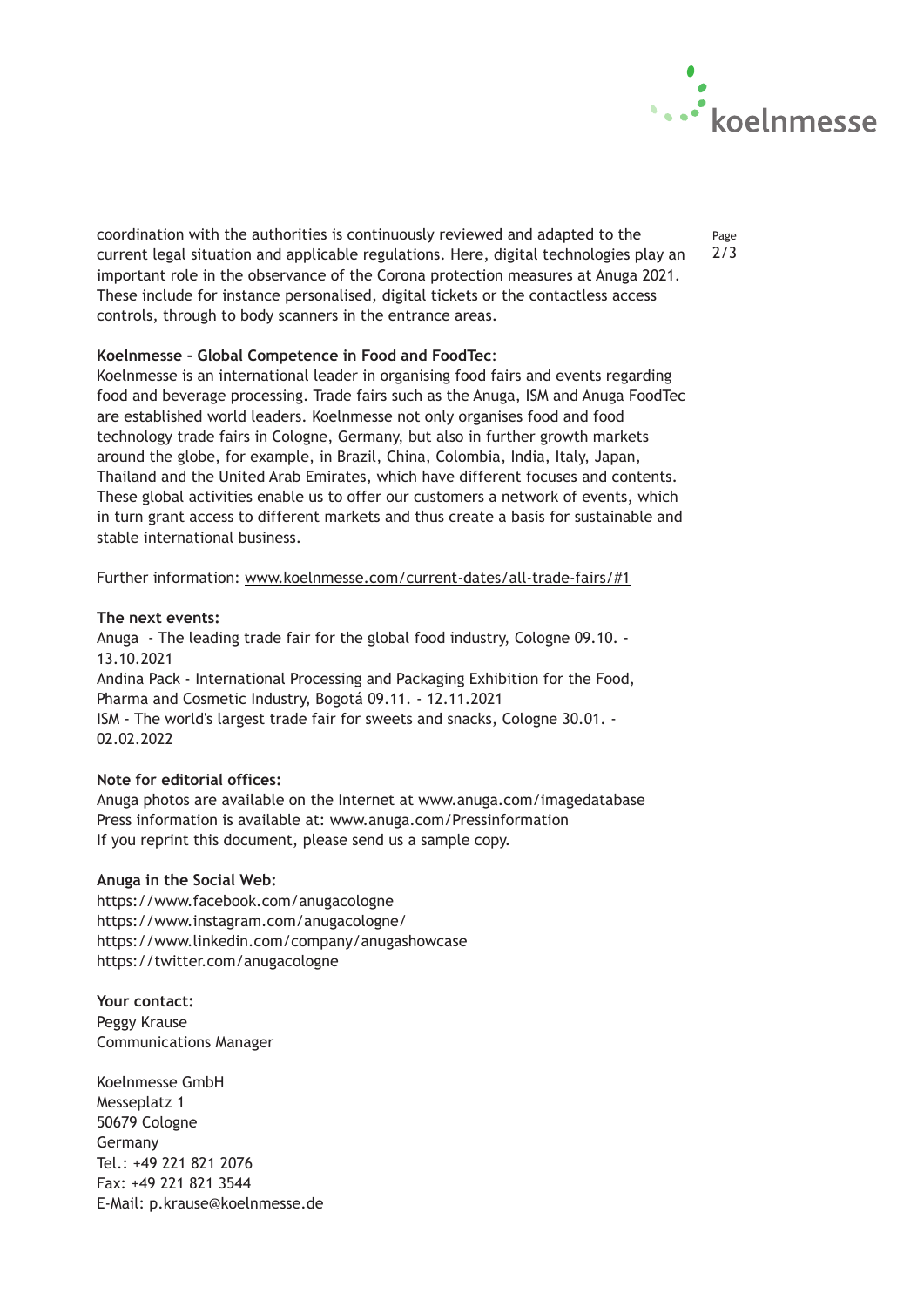

coordination with the authorities is continuously reviewed and adapted to the current legal situation and applicable regulations. Here, digital technologies play an important role in the observance of the Corona protection measures at Anuga 2021. These include for instance personalised, digital tickets or the contactless access controls, through to body scanners in the entrance areas.

## Page 2/3

### **Koelnmesse - Global Competence in Food and FoodTec**:

Koelnmesse is an international leader in organising food fairs and events regarding food and beverage processing. Trade fairs such as the Anuga, ISM and Anuga FoodTec are established world leaders. Koelnmesse not only organises food and food technology trade fairs in Cologne, Germany, but also in further growth markets around the globe, for example, in Brazil, China, Colombia, India, Italy, Japan, Thailand and the United Arab Emirates, which have different focuses and contents. These global activities enable us to offer our customers a network of events, which in turn grant access to different markets and thus create a basis for sustainable and stable international business.

Further information: [www.koelnmesse.com/current-dates/all-trade-fairs/#1](#" style="margin: 0px; border: currentColor; border-image: none; left: 0px; top: 0px; width: 16px; height: 16px; right: 0px; bottom: 0px; overflow: hidden; vertical-align: middle; float: none; display: inline; white-space: nowrap; position: static !important;" title="Anrufen: +49 221 821 2076)

#### **The next events:**

Anuga - The leading trade fair for the global food industry, Cologne 09.10. - 13.10.2021 Andina Pack - International Processing and Packaging Exhibition for the Food, Pharma and Cosmetic Industry, Bogotá 09.11. - 12.11.2021 ISM - The world's largest trade fair for sweets and snacks, Cologne 30.01. - 02.02.2022

#### **Note for editorial offices:**

Anuga photos are available on the Internet at www.anuga.com/imagedatabase Press information is available at: www.anuga.com/Pressinformation If you reprint this document, please send us a sample copy.

#### **Anuga in the Social Web:**

https://www.facebook.com/anugacologne https://www.instagram.com/anugacologne/ https://www.linkedin.com/company/anugashowcase https://twitter.com/anugacologne

**Your contact:**  Peggy Krause Communications Manager

Koelnmesse GmbH Messeplatz 1 50679 Cologne Germany Tel.: +49 221 821 2076 Fax: +49 221 821 3544 E-Mail: p.krause@koelnmesse.de